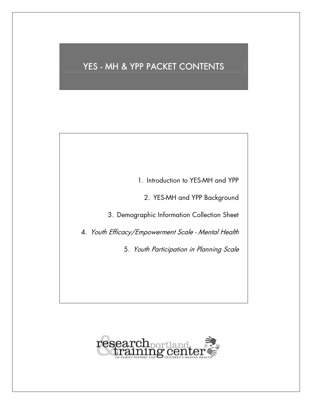### YES - MH & YPP PACKET CONTENTS

1. Introduction to YES-MH and YPP

2. YES-MH and YPP Background

3. Demographic Information Collection Sheet

4. Youth Efficacy/Empowerment Scale - Mental Health

5. Youth Participation in Planning Scale

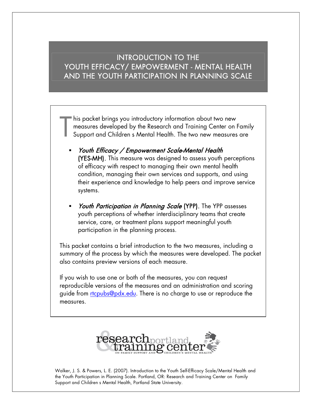#### INTRODUCTION TO THE YOUTH EFFICACY/ EMPOWERMENT - MENTAL HEALTH AND THE YOUTH PARTICIPATION IN PLANNING SCALE

his packet brings you introductory information about two new measures developed by the Research and Training Center on Family Support and Children s Mental Health. The two new measures are T

- ß Youth Efficacy / Empowerment Scale-Mental Health (YES-MH). This measure was designed to assess youth perceptions of efficacy with respect to managing their own mental health condition, managing their own services and supports, and using their experience and knowledge to help peers and improve service systems.
- Youth Participation in Planning Scale (YPP). The YPP assesses youth perceptions of whether interdisciplinary teams that create service, care, or treatment plans support meaningful youth participation in the planning process.

This packet contains a brief introduction to the two measures, including a summary of the process by which the measures were developed. The packe t also contains preview versions of each measure.

If you wish to use one or both of the measures, you can request reproducible versions of the measures and an administration and scoring guide from [rtcpubs@pdx.edu.](mailto:rtcpubs@pdx.edu) There is no charge to use or reproduce the measures.



Walker, J. S. & Powers, L. E. (2007). Introduction to the Youth Self-Efficacy Scale/Mental Health and the Youth Participation in Planning Scale. Portland, OR: Research and Training Center on Family Support and Children s Mental Health, Portland State University.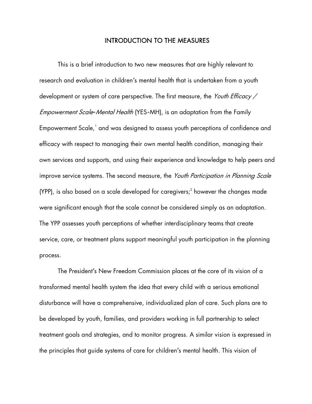#### INTRODUCTION TO THE MEASURES

This is a brief introduction to two new measures that are highly relevant to research and evaluation in children's mental health that is undertaken from a youth development or system of care perspective. The first measure, the Youth Efficacy / Empowerment Scale-Mental Health (YES-MH), is an adaptation from the Family Empowerment Scale,<sup>1</sup> and was designed to assess youth perceptions of confidence and efficacy with respect to managing their own mental health condition, managing their own services and supports, and using their experience and knowledge to help peers and improve service systems. The second measure, the Youth Participation in Planning Scale (YPP), is also based on a scale developed for caregivers;<sup>2</sup> however the changes made were significant enough that the scale cannot be considered simply as an adaptation. The YPP assesses youth perceptions of whether interdisciplinary teams that create service, care, or treatment plans support meaningful youth participation in the planning process.

The President's New Freedom Commission places at the core of its vision of a transformed mental health system the idea that every child with a serious emotional disturbance will have a comprehensive, individualized plan of care. Such plans are to be developed by youth, families, and providers working in full partnership to select treatment goals and strategies, and to monitor progress. A similar vision is expressed in the principles that guide systems of care for children's mental health. This vision of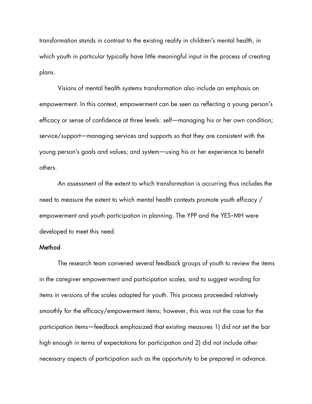transformation stands in contrast to the existing reality in children's mental health, in which youth in particular typically have little meaningful input in the process of creating plans.

Visions of mental health systems transformation also include an emphasis on empowerment. In this context, empowerment can be seen as reflecting a young person's efficacy or sense of confidence at three levels: self—managing his or her own condition; service/support—managing services and supports so that they are consistent with the young person's goals and values; and system—using his or her experience to benefit others.

An assessment of the extent to which transformation is occurring thus includes the need to measure the extent to which mental health contexts promote youth efficacy / empowerment and youth participation in planning. The YPP and the YES-MH were developed to meet this need.

#### Method

The research team convened several feedback groups of youth to review the items in the caregiver empowerment and participation scales, and to suggest wording for items in versions of the scales adapted for youth. This process proceeded relatively smoothly for the efficacy/empowerment items; however, this was not the case for the participation items—feedback emphasized that existing measures 1) did not set the bar high enough in terms of expectations for participation and 2) did not include other necessary aspects of participation such as the opportunity to be prepared in advance.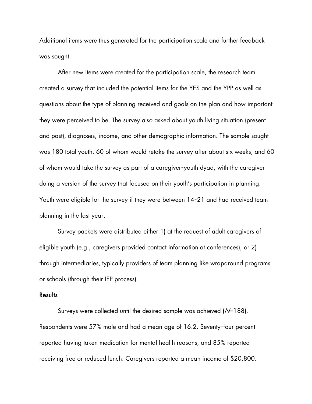Additional items were thus generated for the participation scale and further feedback was sought.

After new items were created for the participation scale, the research team created a survey that included the potential items for the YES and the YPP as well as questions about the type of planning received and goals on the plan and how important they were perceived to be. The survey also asked about youth living situation (present and past), diagnoses, income, and other demographic information. The sample sought was 180 total youth, 60 of whom would retake the survey after about six weeks, and 60 of whom would take the survey as part of a caregiver-youth dyad, with the caregiver doing a version of the survey that focused on their youth's participation in planning. Youth were eligible for the survey if they were between 1421 and had received team planning in the last year.

Survey packets were distributed either 1) at the request of adult caregivers of eligible youth (e.g., caregivers provided contact information at conferences), or 2) through intermediaries, typically providers of team planning like wraparound programs or schools (through their IEP process).

#### **Results**

Surveys were collected until the desired sample was achieved (N=188). Respondents were 57% male and had a mean age of 16.2. Seventy-four percent reported having taken medication for mental health reasons, and 85% reported receiving free or reduced lunch. Caregivers reported a mean income of \$20,800.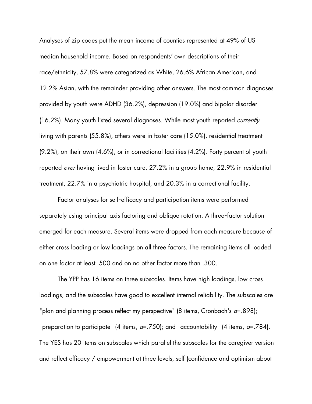Analyses of zip codes put the mean income of counties represented at 49% of US median household income. Based on respondents' own descriptions of their race/ethnicity, 57.8% were categorized as White, 26.6% African American, and 12.2% Asian, with the remainder providing other answers. The most common diagnoses reported *ever* having lived in foster care, 27.2% in a group home, 22.9% in residential provided by youth were ADHD (36.2%), depression (19.0%) and bipolar disorder (16.2%). Many youth listed several diagnoses. While most youth reported *currently* living with parents (55.8%), others were in foster care (15.0%), residential treatment (9.2%), on their own (4.6%), or in correctional facilities (4.2%). Forty percent of youth treatment, 22.7% in a psychiatric hospital, and 20.3% in a correctional facility.

emerged for each measure. Several items were dropped from each measure because of Factor analyses for self-efficacy and participation items were performed separately using principal axis factoring and oblique rotation. A three-factor solution either cross loading or low loadings on all three factors. The remaining items all loaded on one factor at least .500 and on no other factor more than .300.

loadings, and the subscales have good to excellent internal reliability. The subscales are The YPP has 16 items on three subscales. Items have high loadings, low cross "plan and planning process reflect my perspective" (8 items, Cronbach's  $\alpha = .898$ ); preparation to participate (4 items,  $a = .750$ ); and accountability (4 items,  $a = .784$ ). The YES has 20 items on subscales which parallel the subscales for the caregiver version and reflect efficacy / empowerment at three levels, self (confidence and optimism about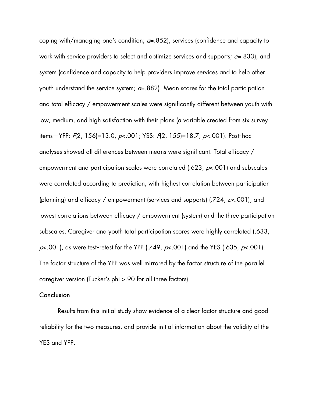coping with/managing one's condition;  $a=0.852$ ), services (confidence and capacity to work with service providers to select and optimize services and supports;  $a=833$ ), and system (confidence and capacity to help providers improve services and to help other youth understand the service system;  $a=0.882$ ). Mean scores for the total participation and total efficacy / empowerment scales were significantly different between youth with low, medium, and high satisfaction with their plans (a variable created from six survey items—YPP:  $F(2, 156)$ =13.0,  $p<.001$ ; YSS:  $F(2, 155)$ =18.7,  $p<.001$ ). Post-hoc analyses showed all differences between means were significant. Total efficacy / empowerment and participation scales were correlated (.623,  $p<.001$ ) and subscales were correlated according to prediction, with highest correlation between participation (planning) and efficacy / empowerment (services and supports) ( $.724, p<.001$ ), and lowest correlations between efficacy / empowerment (system) and the three participation subscales. Caregiver and youth total participation scores were highly correlated (.633,  $p<.001$ , as were test-retest for the YPP (.749,  $p<.001$ ) and the YES (.635,  $p<.001$ ). The factor structure of the YPP was well mirrored by the factor structure of the parallel caregiver version (Tucker's phi >.90 for all three factors).

#### **Conclusion**

Results from this initial study show evidence of a clear factor structure and good reliability for the two measures, and provide initial information about the validity of the YES and YPP.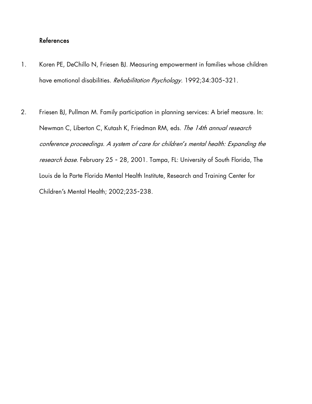#### References

- 1. Koren PE, DeChillo N, Friesen BJ. Measuring empowerment in families whose children have emotional disabilities. Rehabilitation Psychology. 1992;34:305-321.
- 2. Friesen BJ, Pullman M. Family participation in planning services: A brief measure. In: Newman C, Liberton C, Kutash K, Friedman RM, eds. The 14th annual research conference proceedings. A system of care for children*'*s mental health: Expanding the research base. February 25 - 28, 2001. Tampa, FL: University of South Florida, The Louis de la Parte Florida Mental Health Institute, Research and Training Center for Children's Mental Health; 2002;235-238.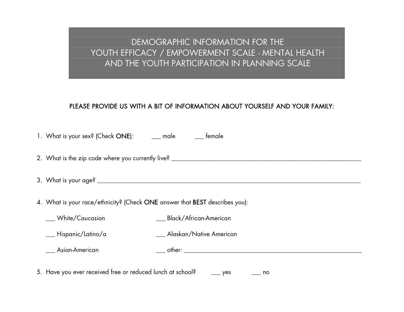DEMOGRAPHIC INFORMATION FOR THE YOUTH EFFICACY / EMPOWERMENT SCALE - MENTAL HEALTH AND THE YOUTH PARTICIPATION IN PLANNING SCALE

#### PLEASE PROVIDE US WITH A BIT OF INFORMATION ABOUT YOURSELF AND YOUR FAMILY:

| 1. What is your sex? (Check ONE): ____ male                                 | __ female                                                                                                       |
|-----------------------------------------------------------------------------|-----------------------------------------------------------------------------------------------------------------|
|                                                                             |                                                                                                                 |
|                                                                             |                                                                                                                 |
| 4. What is your race/ethnicity? (Check ONE answer that BEST describes you): |                                                                                                                 |
| __ White/Caucasian                                                          | __ Black/African-American                                                                                       |
| __ Hispanic/Latino/a                                                        | __ Alaskan/Native American                                                                                      |
| Asian-American                                                              | other: when the contract of the contract of the contract of the contract of the contract of the contract of the |

5. Have you ever received free or reduced lunch at school? \_\_\_\_ yes \_\_\_\_\_ no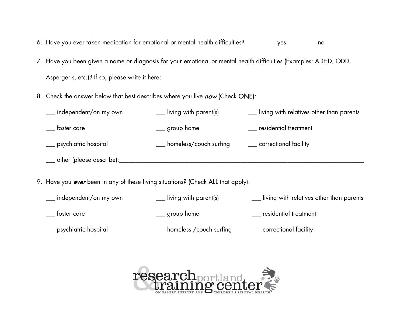- 6. Have you ever taken medication for emotional or mental health difficulties? \_\_\_\_ yes \_\_\_\_ no
- 7. Have you been given a name or diagnosis for your emotional or mental health difficulties (Examples: ADHD, ODD, Asperger's, etc.)? If so, please write it here: \_\_\_\_\_\_\_\_\_\_\_\_\_\_\_\_\_\_\_\_\_\_\_\_\_\_\_\_\_\_\_\_\_\_\_\_\_\_\_\_\_\_\_\_\_\_\_\_\_\_\_\_\_\_\_\_\_\_\_\_\_\_\_\_\_
- 8. Check the answer below that best describes where you live now (Check ONE):
	- \_\_\_ independent/on my own \_\_\_ living with parent(s) \_\_\_ living with relatives other than parents \_\_\_ foster care \_\_\_ group home \_\_\_ residential treatment \_\_\_ psychiatric hospital \_\_\_ homeless/couch surfing \_\_\_ correctional facility \_\_\_ other (please describe):\_\_\_\_\_\_\_\_\_\_\_\_\_\_\_\_\_\_\_\_\_\_\_\_\_\_\_\_\_\_\_\_\_\_\_\_\_\_\_\_\_\_\_\_\_\_\_\_\_\_\_\_\_\_\_\_\_\_\_\_\_\_\_\_\_\_\_\_\_\_\_\_\_\_\_\_\_\_\_\_
- 9. Have you ever been in any of these living situations? (Check ALL that apply):



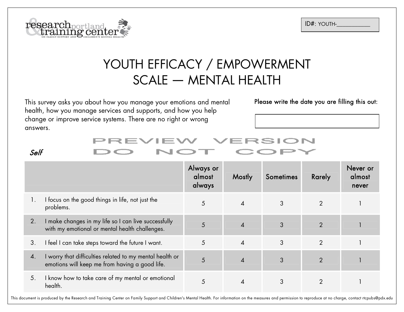ID#: YOUTH-\_\_\_\_\_\_\_\_\_\_\_



## YOUTH EFFICACY / EMPOWERMENT SCALE — MENTAL HEALTH

This survey asks you about how you manage your emotions and mental health, how you manage services and supports, and how you help change or improve service systems. There are no right or wrong answers.

Please write the date you are filling this out:

#### Self

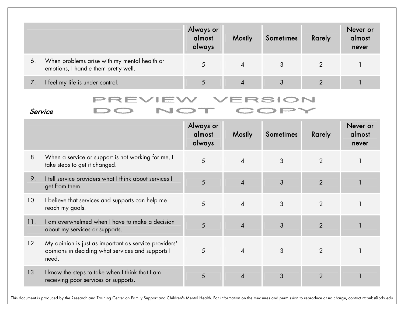|            |                                                                                      | Always or<br>almost<br>always | Mostly | Sometimes | Rarely | Never or<br>almost<br>never |
|------------|--------------------------------------------------------------------------------------|-------------------------------|--------|-----------|--------|-----------------------------|
| $\delta$ . | When problems arise with my mental health or<br>emotions, I handle them pretty well. |                               |        |           |        |                             |
|            | I feel my life is under control.                                                     |                               |        |           |        |                             |

# PREVIEW VERSION<br>DO NOT COPY

Service

|     |                                                                                                                     | Always or<br>almost<br>always | <b>Mostly</b>              | <b>Sometimes</b> | Rarely         | Never or<br>almost<br>never |
|-----|---------------------------------------------------------------------------------------------------------------------|-------------------------------|----------------------------|------------------|----------------|-----------------------------|
| 8.  | When a service or support is not working for me, I<br>take steps to get it changed.                                 | 5                             | $\boldsymbol{\varDelta}$   | 3                | $\overline{2}$ |                             |
| 9.  | I tell service providers what I think about services I<br>get from them.                                            | 5                             | $\overline{4}$             | 3                | $\overline{2}$ |                             |
| 10. | I believe that services and supports can help me<br>reach my goals.                                                 | 5                             | $\overline{A}$             | 3                | $\overline{2}$ |                             |
| 11. | I am overwhelmed when I have to make a decision<br>about my services or supports.                                   | 5                             | $\boldsymbol{\varLambda}$  | 3                | $\overline{2}$ |                             |
| 12. | My opinion is just as important as service providers'<br>opinions in deciding what services and supports I<br>need. | 5                             | $\boldsymbol{\Lambda}$     | 3                | $\overline{2}$ |                             |
| 13. | I know the steps to take when I think that I am<br>receiving poor services or supports.                             | 5                             | $\boldsymbol{\mathcal{A}}$ | 3                | $\overline{2}$ |                             |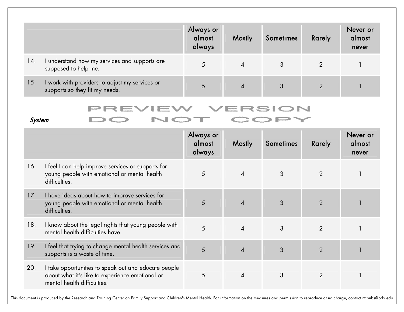|     |                                                                                  | Always or<br>almost<br>always | Mostly | Sometimes | Rarely | Never or<br>almost<br>never |
|-----|----------------------------------------------------------------------------------|-------------------------------|--------|-----------|--------|-----------------------------|
| 14. | I understand how my services and supports are<br>supposed to help me.            |                               |        |           |        |                             |
| 15. | I work with providers to adjust my services or<br>supports so they fit my needs. |                               |        |           |        |                             |

#### PREVIEW VERSION NOT COPY  $\Box$

System

|     |                                                                                                                                        | Always or<br>almost<br>always | <b>Mostly</b>             | <b>Sometimes</b> | Rarely         | Never or<br>almost<br>never |
|-----|----------------------------------------------------------------------------------------------------------------------------------------|-------------------------------|---------------------------|------------------|----------------|-----------------------------|
| 16. | I feel I can help improve services or supports for<br>young people with emotional or mental health<br>difficulties.                    | 5                             | 4                         | 3                | $\overline{2}$ |                             |
| 17. | I have ideas about how to improve services for<br>young people with emotional or mental health<br>difficulties.                        | 5                             | $\overline{A}$            | 3                | $\overline{2}$ |                             |
| 18. | I know about the legal rights that young people with<br>mental health difficulties have.                                               | 5                             | $\boldsymbol{\varLambda}$ | 3                | $\overline{2}$ |                             |
| 19. | I feel that trying to change mental health services and<br>supports is a waste of time.                                                | 5                             | $\boldsymbol{\varLambda}$ | 3                | $\overline{2}$ |                             |
| 20. | I take opportunities to speak out and educate people<br>about what it's like to experience emotional or<br>mental health difficulties. | 5                             | $\boldsymbol{\varDelta}$  | 3                | $\overline{2}$ |                             |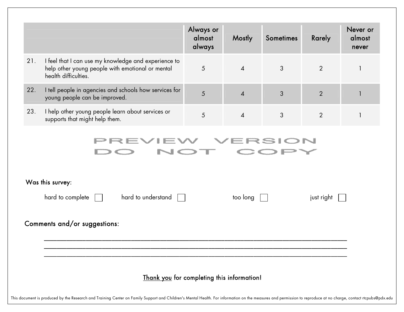|     |                                                                                                                                  | Always or        |                |                  |                | Never or                |
|-----|----------------------------------------------------------------------------------------------------------------------------------|------------------|----------------|------------------|----------------|-------------------------|
|     |                                                                                                                                  | almost<br>always | <b>Mostly</b>  | <b>Sometimes</b> | <b>Rarely</b>  | almost<br>never         |
| 21. | I feel that I can use my knowledge and experience to<br>help other young people with emotional or mental<br>health difficulties. | $\sqrt{5}$       | $\overline{4}$ | 3                | $\overline{2}$ | $\overline{\mathsf{I}}$ |
| 22. | I tell people in agencies and schools how services for<br>young people can be improved.                                          | 5                | $\overline{4}$ | 3                | $\overline{2}$ |                         |
| 23. | I help other young people learn about services or<br>supports that might help them.                                              | 5                | $\overline{4}$ | 3                | $\overline{2}$ |                         |
|     | Was this survey:                                                                                                                 |                  |                |                  |                |                         |
|     | hard to complete<br>hard to understand                                                                                           |                  | too long       |                  | just right     |                         |
|     | Comments and/or suggestions:                                                                                                     |                  |                |                  |                |                         |
|     | Thank you for completing this information!                                                                                       |                  |                |                  |                |                         |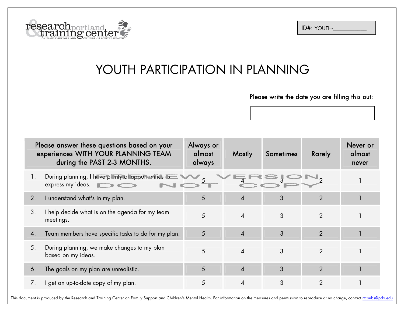ID#: YOUTH-



## YOUTH PARTICIPATION IN PLANNING

Please write the date you are filling this out:

|    | Please answer these questions based on your<br>experiences WITH YOUR PLANNING TEAM<br>during the PAST 2-3 MONTHS. | Always or<br>almost<br>always | <b>Mostly</b>             | <b>Sometimes</b> | Rarely         | Never or<br>almost<br>never |
|----|-------------------------------------------------------------------------------------------------------------------|-------------------------------|---------------------------|------------------|----------------|-----------------------------|
| Ι. | During planning, I have planty of opportunities to<br>express my ideas.                                           |                               |                           |                  |                |                             |
| 2. | I understand what's in my plan.                                                                                   | 5                             | $\overline{A}$            | 3                | $\overline{2}$ |                             |
| 3. | I help decide what is on the agenda for my team<br>meetings.                                                      | 5                             | $\overline{A}$            | 3                | $\overline{2}$ |                             |
| 4. | Team members have specific tasks to do for my plan.                                                               | 5                             | $\overline{\mathcal{A}}$  | 3                | $\overline{2}$ |                             |
| 5. | During planning, we make changes to my plan<br>based on my ideas.                                                 | 5                             | $\boldsymbol{\varLambda}$ | 3                | 2              |                             |
| 6. | The goals on my plan are unrealistic.                                                                             | 5                             | $\overline{\mathcal{A}}$  | 3                | $\overline{2}$ |                             |
| 7. | I get an up-to-date copy of my plan.                                                                              | 5                             | 4                         | 3                | $\overline{2}$ |                             |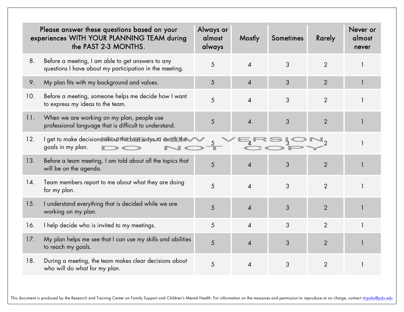|     | Please answer these questions based on your<br>experiences WITH YOUR PLANNING TEAM during<br>the PAST 2-3 MONTHS. | Always or<br>almost<br>always | <b>Mostly</b>            | <b>Sometimes</b> | Rarely         | Never or<br>almost<br>never |
|-----|-------------------------------------------------------------------------------------------------------------------|-------------------------------|--------------------------|------------------|----------------|-----------------------------|
| 8.  | Before a meeting, I am able to get answers to any<br>questions I have about my participation in the meeting.      | 5                             | 4                        | 3                | $\overline{2}$ |                             |
| 9.  | My plan fits with my background and values.                                                                       | 5                             | $\overline{\mathcal{A}}$ | $\mathfrak{Z}$   | $\overline{2}$ | 1                           |
| 10. | Before a meeting, someone helps me decide how I want<br>to express my ideas to the team.                          | 5                             | 4                        | 3                | $\overline{2}$ |                             |
| 11. | When we are working on my plan, people use<br>professional language that is difficult to understand.              | 5                             | $\overline{\mathcal{A}}$ | 3                | $\overline{2}$ |                             |
| 12. | I get to make decisions about the bust ways to reach the<br>goals in my plan.                                     |                               |                          |                  |                |                             |
| 13. | Before a team meeting, I am told about all the topics that<br>will be on the agenda.                              | 5                             | $\overline{A}$           | 3                | $\overline{2}$ |                             |
| 14. | Team members report to me about what they are doing<br>for my plan.                                               | 5                             | $\overline{A}$           | 3                | $\overline{2}$ |                             |
| 15. | I understand everything that is decided while we are<br>working on my plan.                                       | 5                             | $\overline{\mathcal{A}}$ | 3                | $\overline{2}$ |                             |
| 16. | I help decide who is invited to my meetings.                                                                      | 5                             | $\overline{A}$           | 3                | $\overline{2}$ |                             |
| 17. | My plan helps me see that I can use my skills and abilities<br>to reach my goals.                                 | 5                             | $\overline{4}$           | 3                | $\overline{2}$ |                             |
| 18. | During a meeting, the team makes clear decisions about<br>who will do what for my plan.                           | 5                             | $\overline{\mathcal{A}}$ | 3                | $\overline{2}$ |                             |